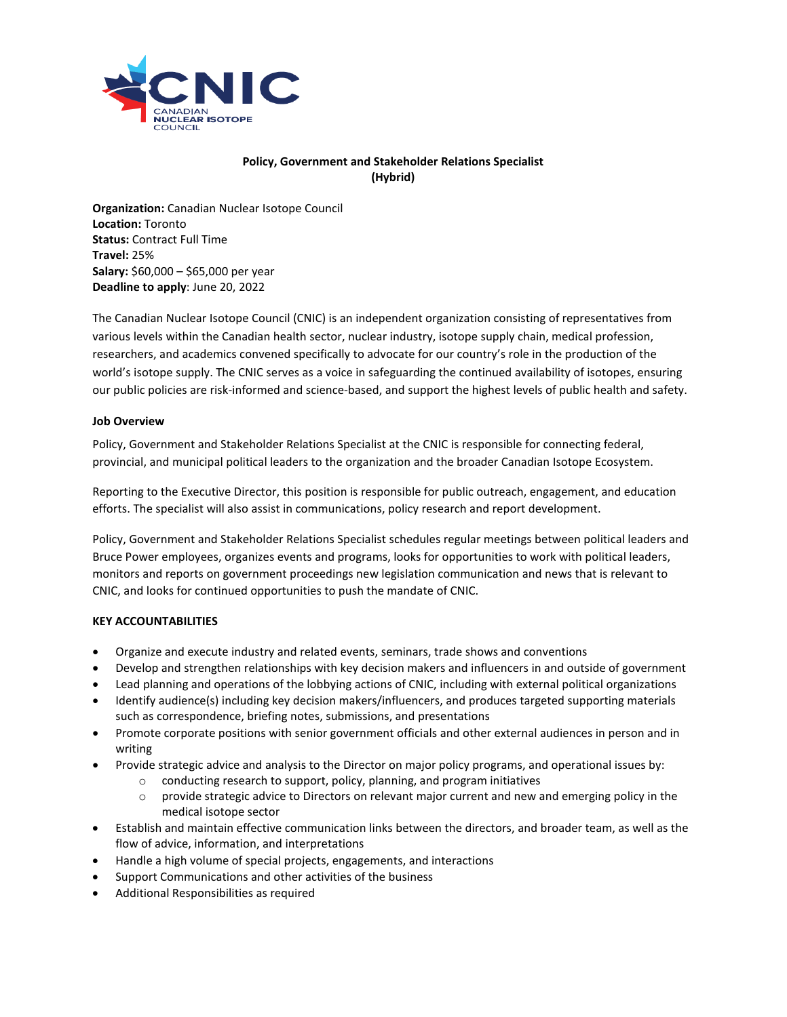

# **Policy, Government and Stakeholder Relations Specialist (Hybrid)**

**Organization:** Canadian Nuclear Isotope Council **Location:** Toronto **Status:** Contract Full Time **Travel:** 25% **Salary:** \$60,000 – \$65,000 per year **Deadline to apply**: June 20, 2022

The Canadian Nuclear Isotope Council (CNIC) is an independent organization consisting of representatives from various levels within the Canadian health sector, nuclear industry, isotope supply chain, medical profession, researchers, and academics convened specifically to advocate for our country's role in the production of the world's isotope supply. The CNIC serves as a voice in safeguarding the continued availability of isotopes, ensuring our public policies are risk-informed and science-based, and support the highest levels of public health and safety.

## **Job Overview**

Policy, Government and Stakeholder Relations Specialist at the CNIC is responsible for connecting federal, provincial, and municipal political leaders to the organization and the broader Canadian Isotope Ecosystem.

Reporting to the Executive Director, this position is responsible for public outreach, engagement, and education efforts. The specialist will also assist in communications, policy research and report development.

Policy, Government and Stakeholder Relations Specialist schedules regular meetings between political leaders and Bruce Power employees, organizes events and programs, looks for opportunities to work with political leaders, monitors and reports on government proceedings new legislation communication and news that is relevant to CNIC, and looks for continued opportunities to push the mandate of CNIC.

## **KEY ACCOUNTABILITIES**

- Organize and execute industry and related events, seminars, trade shows and conventions
- Develop and strengthen relationships with key decision makers and influencers in and outside of government
- Lead planning and operations of the lobbying actions of CNIC, including with external political organizations
- Identify audience(s) including key decision makers/influencers, and produces targeted supporting materials such as correspondence, briefing notes, submissions, and presentations
- Promote corporate positions with senior government officials and other external audiences in person and in writing
- Provide strategic advice and analysis to the Director on major policy programs, and operational issues by:
	- o conducting research to support, policy, planning, and program initiatives
	- $\circ$  provide strategic advice to Directors on relevant major current and new and emerging policy in the medical isotope sector
- Establish and maintain effective communication links between the directors, and broader team, as well as the flow of advice, information, and interpretations
- Handle a high volume of special projects, engagements, and interactions
- Support Communications and other activities of the business
- Additional Responsibilities as required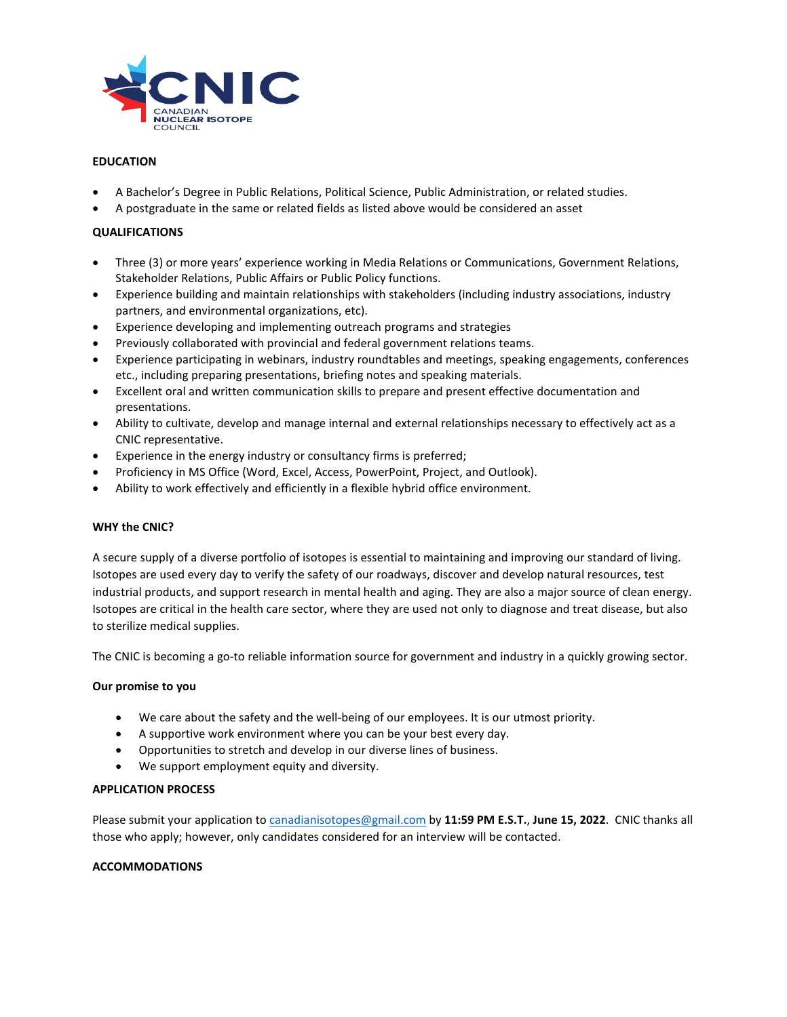

### **EDUCATION**

- A Bachelor's Degree in Public Relations, Political Science, Public Administration, or related studies.
- A postgraduate in the same or related fields as listed above would be considered an asset

### **QUALIFICATIONS**

- Three (3) or more years' experience working in Media Relations or Communications, Government Relations, Stakeholder Relations, Public Affairs or Public Policy functions.
- Experience building and maintain relationships with stakeholders (including industry associations, industry partners, and environmental organizations, etc).
- Experience developing and implementing outreach programs and strategies
- Previously collaborated with provincial and federal government relations teams.
- Experience participating in webinars, industry roundtables and meetings, speaking engagements, conferences etc., including preparing presentations, briefing notes and speaking materials.
- Excellent oral and written communication skills to prepare and present effective documentation and presentations.
- Ability to cultivate, develop and manage internal and external relationships necessary to effectively act as a CNIC representative.
- Experience in the energy industry or consultancy firms is preferred;
- Proficiency in MS Office (Word, Excel, Access, PowerPoint, Project, and Outlook).
- Ability to work effectively and efficiently in a flexible hybrid office environment.

#### **WHY the CNIC?**

A secure supply of a diverse portfolio of isotopes is essential to maintaining and improving our standard of living. Isotopes are used every day to verify the safety of our roadways, discover and develop natural resources, test industrial products, and support research in mental health and aging. They are also a major source of clean energy. Isotopes are critical in the health care sector, where they are used not only to diagnose and treat disease, but also to sterilize medical supplies.

The CNIC is becoming a go-to reliable information source for government and industry in a quickly growing sector.

#### **Our promise to you**

- We care about the safety and the well-being of our employees. It is our utmost priority.
- A supportive work environment where you can be your best every day.
- Opportunities to stretch and develop in our diverse lines of business.
- We support employment equity and diversity.

#### **APPLICATION PROCESS**

Please submit your application t[o canadianisotopes@gmail.com](mailto:canadianisotopes@gmail.com) by **11:59 PM E.S.T.**, **June 15, 2022**. CNIC thanks all those who apply; however, only candidates considered for an interview will be contacted.

#### **ACCOMMODATIONS**